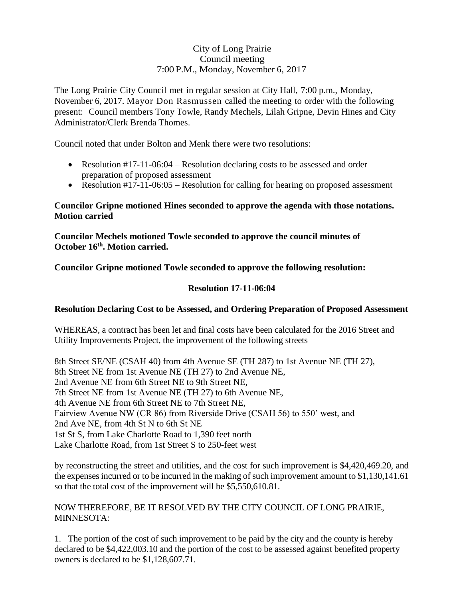## City of Long Prairie Council meeting 7:00 P.M., Monday, November 6, 2017

The Long Prairie City Council met in regular session at City Hall, 7:00 p.m., Monday, November 6, 2017. Mayor Don Rasmussen called the meeting to order with the following present: Council members Tony Towle, Randy Mechels, Lilah Gripne, Devin Hines and City Administrator/Clerk Brenda Thomes.

Council noted that under Bolton and Menk there were two resolutions:

- Resolution #17-11-06:04 Resolution declaring costs to be assessed and order preparation of proposed assessment
- Resolution #17-11-06:05 Resolution for calling for hearing on proposed assessment

## **Councilor Gripne motioned Hines seconded to approve the agenda with those notations. Motion carried**

**Councilor Mechels motioned Towle seconded to approve the council minutes of October 16th . Motion carried.**

**Councilor Gripne motioned Towle seconded to approve the following resolution:**

## **Resolution 17-11-06:04**

#### **Resolution Declaring Cost to be Assessed, and Ordering Preparation of Proposed Assessment**

WHEREAS, a contract has been let and final costs have been calculated for the 2016 Street and Utility Improvements Project, the improvement of the following streets

8th Street SE/NE (CSAH 40) from 4th Avenue SE (TH 287) to 1st Avenue NE (TH 27), 8th Street NE from 1st Avenue NE (TH 27) to 2nd Avenue NE, 2nd Avenue NE from 6th Street NE to 9th Street NE, 7th Street NE from 1st Avenue NE (TH 27) to 6th Avenue NE, 4th Avenue NE from 6th Street NE to 7th Street NE, Fairview Avenue NW (CR 86) from Riverside Drive (CSAH 56) to 550' west, and 2nd Ave NE, from 4th St N to 6th St NE 1st St S, from Lake Charlotte Road to 1,390 feet north Lake Charlotte Road, from 1st Street S to 250-feet west

by reconstructing the street and utilities, and the cost for such improvement is \$4,420,469.20, and the expenses incurred or to be incurred in the making of such improvement amount to \$1,130,141.61 so that the total cost of the improvement will be \$5,550,610.81.

## NOW THEREFORE, BE IT RESOLVED BY THE CITY COUNCIL OF LONG PRAIRIE, MINNESOTA:

1. The portion of the cost of such improvement to be paid by the city and the county is hereby declared to be \$4,422,003.10 and the portion of the cost to be assessed against benefited property owners is declared to be \$1,128,607.71.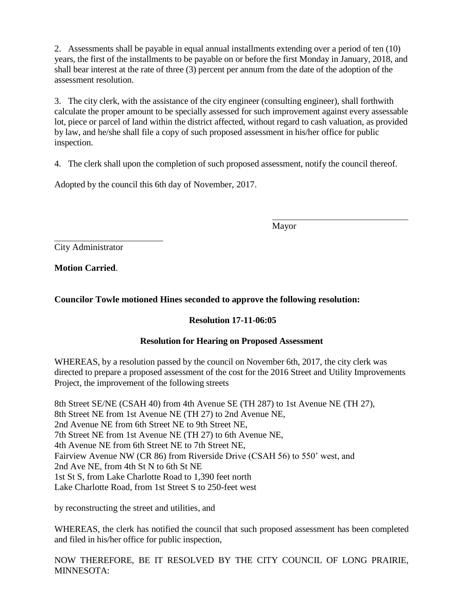2. Assessments shall be payable in equal annual installments extending over a period of ten (10) years, the first of the installments to be payable on or before the first Monday in January, 2018, and shall bear interest at the rate of three (3) percent per annum from the date of the adoption of the assessment resolution.

3. The city clerk, with the assistance of the city engineer (consulting engineer), shall forthwith calculate the proper amount to be specially assessed for such improvement against every assessable lot, piece or parcel of land within the district affected, without regard to cash valuation, as provided by law, and he/she shall file a copy of such proposed assessment in his/her office for public inspection.

4. The clerk shall upon the completion of such proposed assessment, notify the council thereof.

Adopted by the council this 6th day of November, 2017.

Mayor

City Administrator

**Motion Carried**.

# **Councilor Towle motioned Hines seconded to approve the following resolution:**

## **Resolution 17-11-06:05**

## **Resolution for Hearing on Proposed Assessment**

WHEREAS, by a resolution passed by the council on November 6th, 2017, the city clerk was directed to prepare a proposed assessment of the cost for the 2016 Street and Utility Improvements Project, the improvement of the following streets

8th Street SE/NE (CSAH 40) from 4th Avenue SE (TH 287) to 1st Avenue NE (TH 27), 8th Street NE from 1st Avenue NE (TH 27) to 2nd Avenue NE, 2nd Avenue NE from 6th Street NE to 9th Street NE, 7th Street NE from 1st Avenue NE (TH 27) to 6th Avenue NE, 4th Avenue NE from 6th Street NE to 7th Street NE, Fairview Avenue NW (CR 86) from Riverside Drive (CSAH 56) to 550' west, and 2nd Ave NE, from 4th St N to 6th St NE 1st St S, from Lake Charlotte Road to 1,390 feet north Lake Charlotte Road, from 1st Street S to 250-feet west

by reconstructing the street and utilities, and

WHEREAS, the clerk has notified the council that such proposed assessment has been completed and filed in his/her office for public inspection,

NOW THEREFORE, BE IT RESOLVED BY THE CITY COUNCIL OF LONG PRAIRIE, MINNESOTA: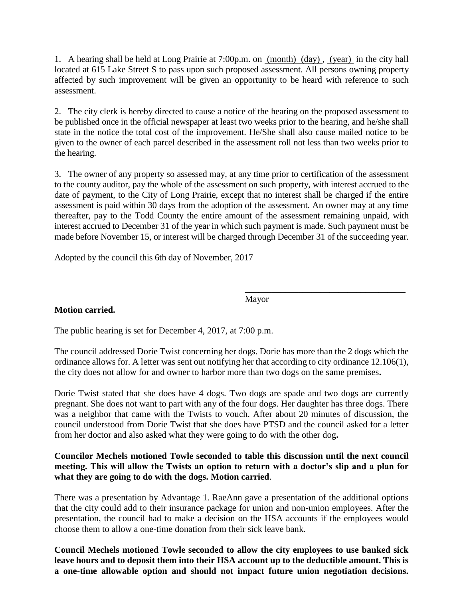1. A hearing shall be held at Long Prairie at 7:00p.m. on (month) (day) , (year) in the city hall located at 615 Lake Street S to pass upon such proposed assessment. All persons owning property affected by such improvement will be given an opportunity to be heard with reference to such assessment.

2. The city clerk is hereby directed to cause a notice of the hearing on the proposed assessment to be published once in the official newspaper at least two weeks prior to the hearing, and he/she shall state in the notice the total cost of the improvement. He/She shall also cause mailed notice to be given to the owner of each parcel described in the assessment roll not less than two weeks prior to the hearing.

3. The owner of any property so assessed may, at any time prior to certification of the assessment to the county auditor, pay the whole of the assessment on such property, with interest accrued to the date of payment, to the City of Long Prairie, except that no interest shall be charged if the entire assessment is paid within 30 days from the adoption of the assessment. An owner may at any time thereafter, pay to the Todd County the entire amount of the assessment remaining unpaid, with interest accrued to December 31 of the year in which such payment is made. Such payment must be made before November 15, or interest will be charged through December 31 of the succeeding year.

Adopted by the council this 6th day of November, 2017

Mayor

\_\_\_\_\_\_\_\_\_\_\_\_\_\_\_\_\_\_\_\_\_\_\_\_\_\_\_\_\_\_\_\_\_\_\_\_

## **Motion carried.**

The public hearing is set for December 4, 2017, at 7:00 p.m.

The council addressed Dorie Twist concerning her dogs. Dorie has more than the 2 dogs which the ordinance allows for. A letter was sent out notifying her that according to city ordinance 12.106(1), the city does not allow for and owner to harbor more than two dogs on the same premises**.** 

Dorie Twist stated that she does have 4 dogs. Two dogs are spade and two dogs are currently pregnant. She does not want to part with any of the four dogs. Her daughter has three dogs. There was a neighbor that came with the Twists to vouch. After about 20 minutes of discussion, the council understood from Dorie Twist that she does have PTSD and the council asked for a letter from her doctor and also asked what they were going to do with the other dog**.** 

## **Councilor Mechels motioned Towle seconded to table this discussion until the next council meeting. This will allow the Twists an option to return with a doctor's slip and a plan for what they are going to do with the dogs. Motion carried**.

There was a presentation by Advantage 1. RaeAnn gave a presentation of the additional options that the city could add to their insurance package for union and non-union employees. After the presentation, the council had to make a decision on the HSA accounts if the employees would choose them to allow a one-time donation from their sick leave bank.

**Council Mechels motioned Towle seconded to allow the city employees to use banked sick leave hours and to deposit them into their HSA account up to the deductible amount. This is a one-time allowable option and should not impact future union negotiation decisions.**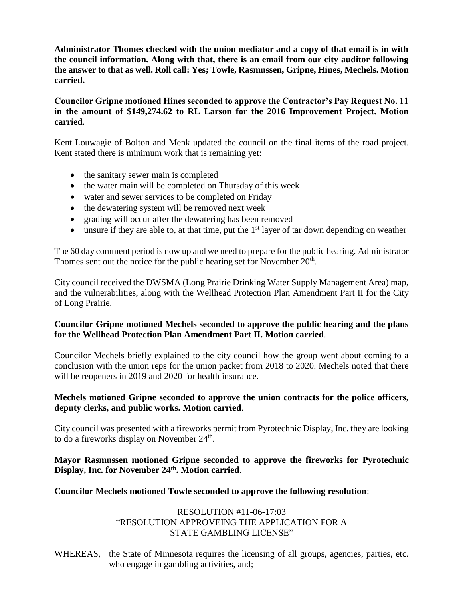**Administrator Thomes checked with the union mediator and a copy of that email is in with the council information. Along with that, there is an email from our city auditor following the answer to that as well. Roll call: Yes; Towle, Rasmussen, Gripne, Hines, Mechels. Motion carried.** 

## **Councilor Gripne motioned Hines seconded to approve the Contractor's Pay Request No. 11 in the amount of \$149,274.62 to RL Larson for the 2016 Improvement Project. Motion carried**.

Kent Louwagie of Bolton and Menk updated the council on the final items of the road project. Kent stated there is minimum work that is remaining yet:

- the sanitary sewer main is completed
- the water main will be completed on Thursday of this week
- water and sewer services to be completed on Friday
- the dewatering system will be removed next week
- grading will occur after the dewatering has been removed
- $\bullet$  unsure if they are able to, at that time, put the 1<sup>st</sup> layer of tar down depending on weather

The 60 day comment period is now up and we need to prepare for the public hearing. Administrator Thomes sent out the notice for the public hearing set for November  $20<sup>th</sup>$ .

City council received the DWSMA (Long Prairie Drinking Water Supply Management Area) map, and the vulnerabilities, along with the Wellhead Protection Plan Amendment Part II for the City of Long Prairie.

## **Councilor Gripne motioned Mechels seconded to approve the public hearing and the plans for the Wellhead Protection Plan Amendment Part II. Motion carried**.

Councilor Mechels briefly explained to the city council how the group went about coming to a conclusion with the union reps for the union packet from 2018 to 2020. Mechels noted that there will be reopeners in 2019 and 2020 for health insurance.

## **Mechels motioned Gripne seconded to approve the union contracts for the police officers, deputy clerks, and public works. Motion carried**.

City council was presented with a fireworks permit from Pyrotechnic Display, Inc. they are looking to do a fireworks display on November 24<sup>th</sup>.

## **Mayor Rasmussen motioned Gripne seconded to approve the fireworks for Pyrotechnic Display, Inc. for November 24th. Motion carried**.

#### **Councilor Mechels motioned Towle seconded to approve the following resolution**:

## RESOLUTION #11-06-17:03 "RESOLUTION APPROVEING THE APPLICATION FOR A STATE GAMBLING LICENSE"

WHEREAS, the State of Minnesota requires the licensing of all groups, agencies, parties, etc. who engage in gambling activities, and;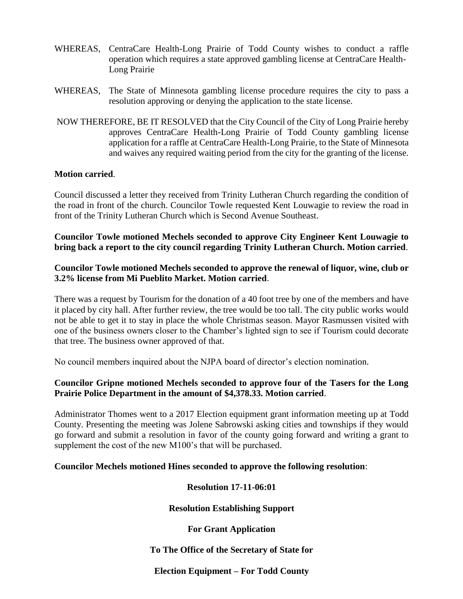- WHEREAS, CentraCare Health-Long Prairie of Todd County wishes to conduct a raffle operation which requires a state approved gambling license at CentraCare Health-Long Prairie
- WHEREAS, The State of Minnesota gambling license procedure requires the city to pass a resolution approving or denying the application to the state license.
- NOW THEREFORE, BE IT RESOLVED that the City Council of the City of Long Prairie hereby approves CentraCare Health-Long Prairie of Todd County gambling license application for a raffle at CentraCare Health-Long Prairie, to the State of Minnesota and waives any required waiting period from the city for the granting of the license.

#### **Motion carried**.

Council discussed a letter they received from Trinity Lutheran Church regarding the condition of the road in front of the church. Councilor Towle requested Kent Louwagie to review the road in front of the Trinity Lutheran Church which is Second Avenue Southeast.

**Councilor Towle motioned Mechels seconded to approve City Engineer Kent Louwagie to bring back a report to the city council regarding Trinity Lutheran Church. Motion carried**.

#### **Councilor Towle motioned Mechels seconded to approve the renewal of liquor, wine, club or 3.2% license from Mi Pueblito Market. Motion carried**.

There was a request by Tourism for the donation of a 40 foot tree by one of the members and have it placed by city hall. After further review, the tree would be too tall. The city public works would not be able to get it to stay in place the whole Christmas season. Mayor Rasmussen visited with one of the business owners closer to the Chamber's lighted sign to see if Tourism could decorate that tree. The business owner approved of that.

No council members inquired about the NJPA board of director's election nomination.

## **Councilor Gripne motioned Mechels seconded to approve four of the Tasers for the Long Prairie Police Department in the amount of \$4,378.33. Motion carried**.

Administrator Thomes went to a 2017 Election equipment grant information meeting up at Todd County. Presenting the meeting was Jolene Sabrowski asking cities and townships if they would go forward and submit a resolution in favor of the county going forward and writing a grant to supplement the cost of the new M100's that will be purchased.

#### **Councilor Mechels motioned Hines seconded to approve the following resolution**:

**Resolution 17-11-06:01**

**Resolution Establishing Support**

#### **For Grant Application**

#### **To The Office of the Secretary of State for**

#### **Election Equipment – For Todd County**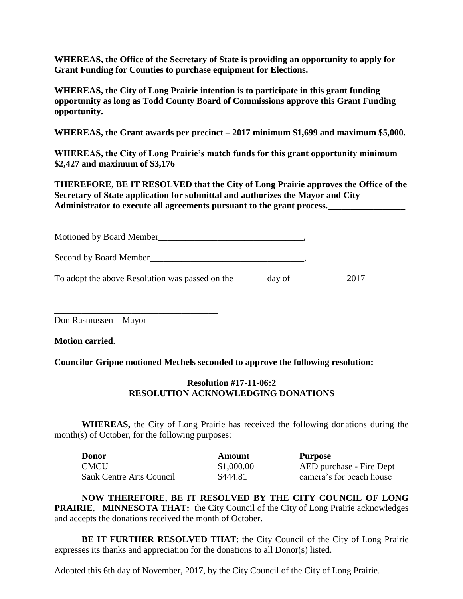**WHEREAS, the Office of the Secretary of State is providing an opportunity to apply for Grant Funding for Counties to purchase equipment for Elections.**

**WHEREAS, the City of Long Prairie intention is to participate in this grant funding opportunity as long as Todd County Board of Commissions approve this Grant Funding opportunity.**

**WHEREAS, the Grant awards per precinct – 2017 minimum \$1,699 and maximum \$5,000.**

**WHEREAS, the City of Long Prairie's match funds for this grant opportunity minimum \$2,427 and maximum of \$3,176**

**THEREFORE, BE IT RESOLVED that the City of Long Prairie approves the Office of the Secretary of State application for submittal and authorizes the Mayor and City**  Administrator to execute all agreements pursuant to the grant process.

Motioned by Board Member\_\_\_\_\_\_\_\_\_\_\_\_\_\_\_\_\_\_\_\_\_\_\_\_\_\_\_\_\_\_\_\_, Second by Board Member\_\_\_\_\_\_\_\_\_\_\_\_\_\_\_\_\_\_\_\_\_\_\_\_\_\_\_\_\_\_\_\_\_\_,

To adopt the above Resolution was passed on the \_\_\_\_\_\_\_day of \_\_\_\_\_\_\_\_\_\_\_\_\_\_\_\_2017

Don Rasmussen – Mayor

\_\_\_\_\_\_\_\_\_\_\_\_\_\_\_\_\_\_\_\_\_\_\_\_\_\_\_\_\_\_\_\_\_\_\_\_

**Motion carried**.

**Councilor Gripne motioned Mechels seconded to approve the following resolution:**

## **Resolution #17-11-06:2 RESOLUTION ACKNOWLEDGING DONATIONS**

**WHEREAS,** the City of Long Prairie has received the following donations during the month(s) of October, for the following purposes:

| <b>Donor</b>             | Amount     | Purpose                  |
|--------------------------|------------|--------------------------|
| <b>CMCU</b>              | \$1,000.00 | AED purchase - Fire Dept |
| Sauk Centre Arts Council | \$444.81   | camera's for beach house |

**NOW THEREFORE, BE IT RESOLVED BY THE CITY COUNCIL OF LONG PRAIRIE, MINNESOTA THAT:** the City Council of the City of Long Prairie acknowledges and accepts the donations received the month of October.

**BE IT FURTHER RESOLVED THAT**: the City Council of the City of Long Prairie expresses its thanks and appreciation for the donations to all Donor(s) listed.

Adopted this 6th day of November, 2017, by the City Council of the City of Long Prairie.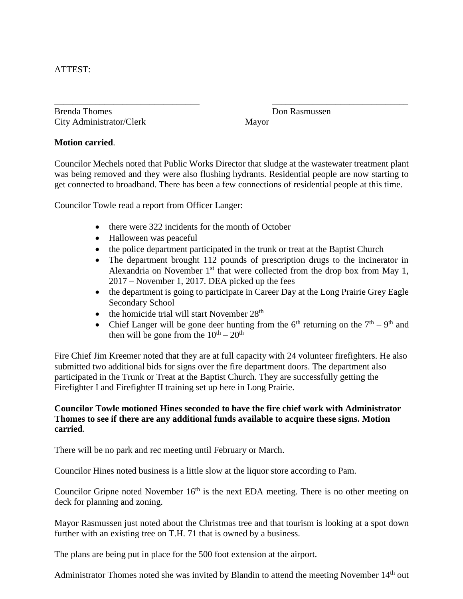## ATTEST:

Brenda Thomes Don Rasmussen City Administrator/Clerk Mayor

### **Motion carried**.

Councilor Mechels noted that Public Works Director that sludge at the wastewater treatment plant was being removed and they were also flushing hydrants. Residential people are now starting to get connected to broadband. There has been a few connections of residential people at this time.

\_\_\_\_\_\_\_\_\_\_\_\_\_\_\_\_\_\_\_\_\_\_\_\_\_\_\_\_\_\_\_\_ \_\_\_\_\_\_\_\_\_\_\_\_\_\_\_\_\_\_\_\_\_\_\_\_\_\_\_\_\_\_

Councilor Towle read a report from Officer Langer:

- there were 322 incidents for the month of October
- Halloween was peaceful
- the police department participated in the trunk or treat at the Baptist Church
- The department brought 112 pounds of prescription drugs to the incinerator in Alexandria on November  $1<sup>st</sup>$  that were collected from the drop box from May 1, 2017 – November 1, 2017. DEA picked up the fees
- the department is going to participate in Career Day at the Long Prairie Grey Eagle Secondary School
- $\bullet$  the homicide trial will start November 28<sup>th</sup>
- Chief Langer will be gone deer hunting from the  $6<sup>th</sup>$  returning on the  $7<sup>th</sup> 9<sup>th</sup>$  and then will be gone from the  $10^{th} - 20^{th}$

Fire Chief Jim Kreemer noted that they are at full capacity with 24 volunteer firefighters. He also submitted two additional bids for signs over the fire department doors. The department also participated in the Trunk or Treat at the Baptist Church. They are successfully getting the Firefighter I and Firefighter II training set up here in Long Prairie.

## **Councilor Towle motioned Hines seconded to have the fire chief work with Administrator Thomes to see if there are any additional funds available to acquire these signs. Motion carried**.

There will be no park and rec meeting until February or March.

Councilor Hines noted business is a little slow at the liquor store according to Pam.

Councilor Gripne noted November  $16<sup>th</sup>$  is the next EDA meeting. There is no other meeting on deck for planning and zoning.

Mayor Rasmussen just noted about the Christmas tree and that tourism is looking at a spot down further with an existing tree on T.H. 71 that is owned by a business.

The plans are being put in place for the 500 foot extension at the airport.

Administrator Thomes noted she was invited by Blandin to attend the meeting November 14<sup>th</sup> out